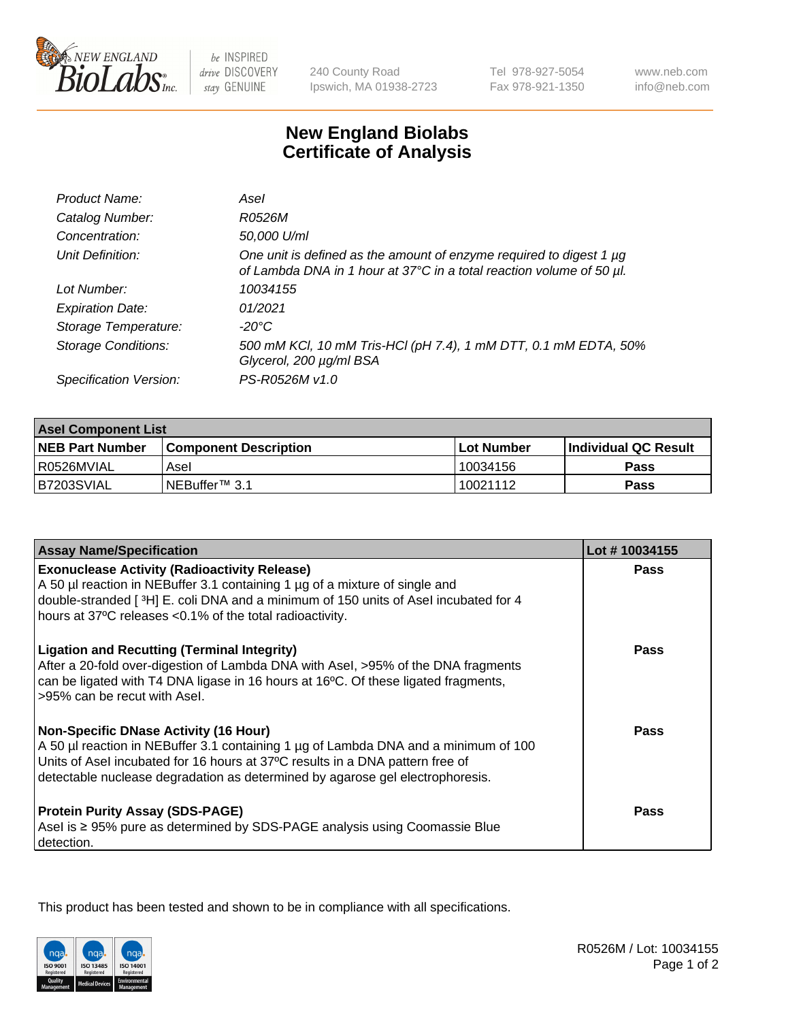

be INSPIRED drive DISCOVERY stay GENUINE

240 County Road Ipswich, MA 01938-2723 Tel 978-927-5054 Fax 978-921-1350

www.neb.com info@neb.com

## **New England Biolabs Certificate of Analysis**

| Product Name:              | Asel                                                                                                                                        |
|----------------------------|---------------------------------------------------------------------------------------------------------------------------------------------|
| Catalog Number:            | R0526M                                                                                                                                      |
| Concentration:             | 50,000 U/ml                                                                                                                                 |
| Unit Definition:           | One unit is defined as the amount of enzyme required to digest 1 µg<br>of Lambda DNA in 1 hour at 37°C in a total reaction volume of 50 µl. |
| Lot Number:                | 10034155                                                                                                                                    |
| <b>Expiration Date:</b>    | 01/2021                                                                                                                                     |
| Storage Temperature:       | $-20^{\circ}$ C                                                                                                                             |
| <b>Storage Conditions:</b> | 500 mM KCI, 10 mM Tris-HCI (pH 7.4), 1 mM DTT, 0.1 mM EDTA, 50%<br>Glycerol, 200 µg/ml BSA                                                  |
| Specification Version:     | PS-R0526M v1.0                                                                                                                              |

| <b>Asel Component List</b> |                              |                   |                       |  |
|----------------------------|------------------------------|-------------------|-----------------------|--|
| <b>NEB Part Number</b>     | <b>Component Description</b> | <b>Lot Number</b> | ∣Individual QC Result |  |
| R0526MVIAL                 | Asel                         | 10034156          | <b>Pass</b>           |  |
| B7203SVIAL                 | INEBuffer™ 3.1               | 10021112          | Pass                  |  |

| <b>Assay Name/Specification</b>                                                                                                                                                                                                                                                                       | Lot #10034155 |
|-------------------------------------------------------------------------------------------------------------------------------------------------------------------------------------------------------------------------------------------------------------------------------------------------------|---------------|
| <b>Exonuclease Activity (Radioactivity Release)</b><br>A 50 µl reaction in NEBuffer 3.1 containing 1 µg of a mixture of single and<br>double-stranded [3H] E. coli DNA and a minimum of 150 units of Asel incubated for 4<br>hours at 37°C releases <0.1% of the total radioactivity.                 | Pass          |
| <b>Ligation and Recutting (Terminal Integrity)</b><br>After a 20-fold over-digestion of Lambda DNA with Asel, >95% of the DNA fragments<br>can be ligated with T4 DNA ligase in 16 hours at 16°C. Of these ligated fragments,<br>>95% can be recut with Asel.                                         | <b>Pass</b>   |
| <b>Non-Specific DNase Activity (16 Hour)</b><br>A 50 µl reaction in NEBuffer 3.1 containing 1 µg of Lambda DNA and a minimum of 100<br>Units of Asel incubated for 16 hours at 37°C results in a DNA pattern free of<br>detectable nuclease degradation as determined by agarose gel electrophoresis. | Pass          |
| <b>Protein Purity Assay (SDS-PAGE)</b><br>Asel is ≥ 95% pure as determined by SDS-PAGE analysis using Coomassie Blue<br>detection.                                                                                                                                                                    | <b>Pass</b>   |

This product has been tested and shown to be in compliance with all specifications.